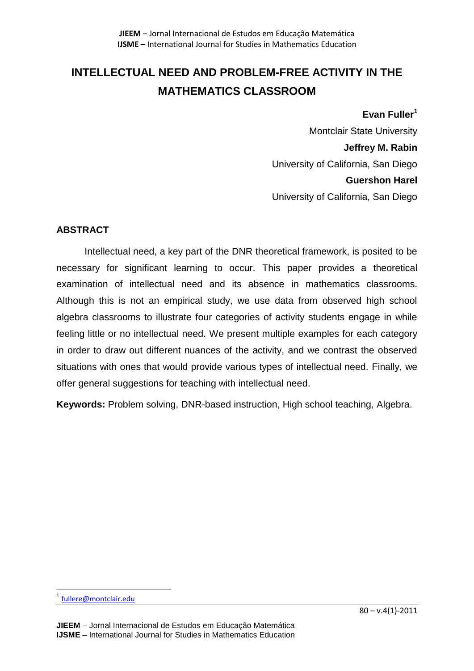# **INTELLECTUAL NEED AND PROBLEM-FREE ACTIVITY IN THE MATHEMATICS CLASSROOM**

#### **Evan Fuller<sup>1</sup>**

Montclair State University **Jeffrey M. Rabin** University of California, San Diego **Guershon Harel** University of California, San Diego

# **ABSTRACT**

Intellectual need, a key part of the DNR theoretical framework, is posited to be necessary for significant learning to occur. This paper provides a theoretical examination of intellectual need and its absence in mathematics classrooms. Although this is not an empirical study, we use data from observed high school algebra classrooms to illustrate four categories of activity students engage in while feeling little or no intellectual need. We present multiple examples for each category in order to draw out different nuances of the activity, and we contrast the observed situations with ones that would provide various types of intellectual need. Finally, we offer general suggestions for teaching with intellectual need.

**Keywords:** Problem solving, DNR-based instruction, High school teaching, Algebra.

 $\overline{\phantom{a}}$ 

<sup>&</sup>lt;sup>1</sup> [fullere@montclair.edu](mailto:fullere@montclair.edu)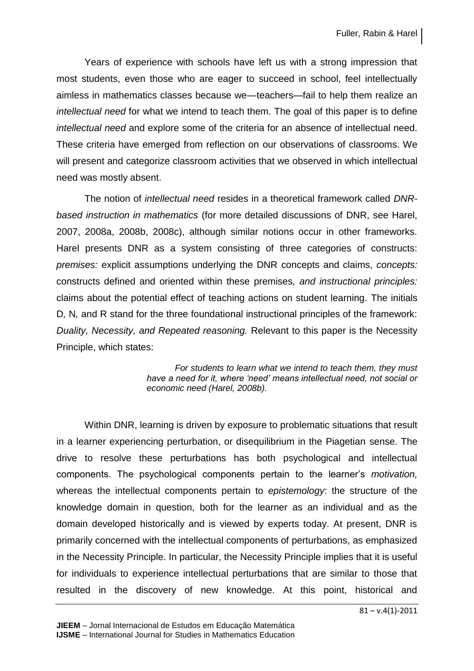Years of experience with schools have left us with a strong impression that most students, even those who are eager to succeed in school, feel intellectually aimless in mathematics classes because we—teachers—fail to help them realize an *intellectual need* for what we intend to teach them. The goal of this paper is to define *intellectual need* and explore some of the criteria for an absence of intellectual need. These criteria have emerged from reflection on our observations of classrooms. We will present and categorize classroom activities that we observed in which intellectual need was mostly absent.

The notion of *intellectual need* resides in a theoretical framework called *DNRbased instruction in mathematics* (for more detailed discussions of DNR, see Harel, 2007, 2008a, 2008b, 2008c), although similar notions occur in other frameworks. Harel presents DNR as a system consisting of three categories of constructs: *premises:* explicit assumptions underlying the DNR concepts and claims, *concepts:* constructs defined and oriented within these premises*, and instructional principles:*  claims about the potential effect of teaching actions on student learning*.* The initials D*,* N*,* and R stand for the three foundational instructional principles of the framework: *Duality, Necessity, and Repeated reasoning.* Relevant to this paper is the Necessity Principle, which states:

> *For students to learn what we intend to teach them, they must have a need for it, where 'need' means intellectual need, not social or economic need (Harel, 2008b).*

Within DNR, learning is driven by exposure to problematic situations that result in a learner experiencing perturbation, or disequilibrium in the Piagetian sense. The drive to resolve these perturbations has both psychological and intellectual components. The psychological components pertain to the learner's *motivation,*  whereas the intellectual components pertain to *epistemology*: the structure of the knowledge domain in question, both for the learner as an individual and as the domain developed historically and is viewed by experts today. At present, DNR is primarily concerned with the intellectual components of perturbations, as emphasized in the Necessity Principle. In particular, the Necessity Principle implies that it is useful for individuals to experience intellectual perturbations that are similar to those that resulted in the discovery of new knowledge. At this point, historical and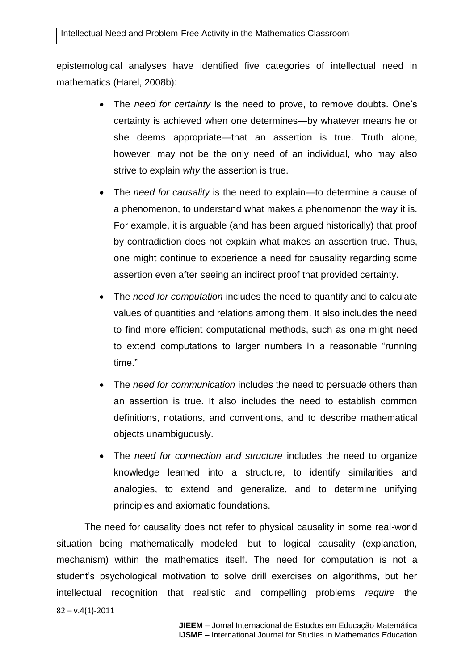epistemological analyses have identified five categories of intellectual need in mathematics (Harel, 2008b):

- The *need for certainty* is the need to prove, to remove doubts. One's certainty is achieved when one determines—by whatever means he or she deems appropriate—that an assertion is true. Truth alone, however, may not be the only need of an individual, who may also strive to explain *why* the assertion is true.
- The *need for causality* is the need to explain*—*to determine a cause of a phenomenon, to understand what makes a phenomenon the way it is. For example, it is arguable (and has been argued historically) that proof by contradiction does not explain what makes an assertion true. Thus, one might continue to experience a need for causality regarding some assertion even after seeing an indirect proof that provided certainty.
- The *need for computation* includes the need to quantify and to calculate values of quantities and relations among them. It also includes the need to find more efficient computational methods, such as one might need to extend computations to larger numbers in a reasonable "running time."
- The *need for communication* includes the need to persuade others than an assertion is true. It also includes the need to establish common definitions, notations, and conventions, and to describe mathematical objects unambiguously.
- The *need for connection and structure* includes the need to organize knowledge learned into a structure, to identify similarities and analogies, to extend and generalize, and to determine unifying principles and axiomatic foundations.

The need for causality does not refer to physical causality in some real-world situation being mathematically modeled, but to logical causality (explanation, mechanism) within the mathematics itself. The need for computation is not a student's psychological motivation to solve drill exercises on algorithms, but her intellectual recognition that realistic and compelling problems *require* the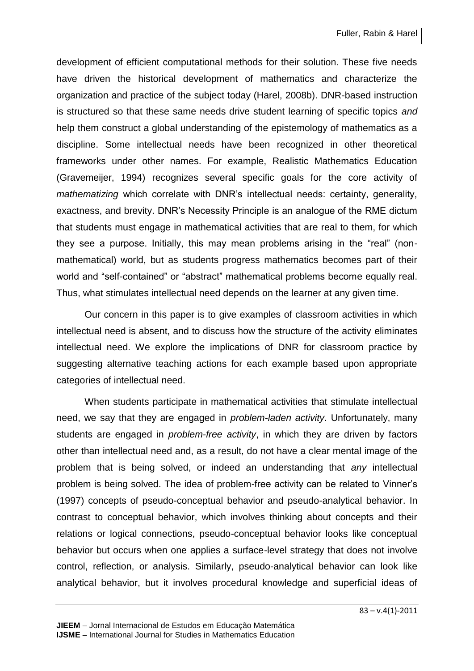development of efficient computational methods for their solution. These five needs have driven the historical development of mathematics and characterize the organization and practice of the subject today (Harel, 2008b). DNR-based instruction is structured so that these same needs drive student learning of specific topics *and* help them construct a global understanding of the epistemology of mathematics as a discipline. Some intellectual needs have been recognized in other theoretical frameworks under other names. For example, Realistic Mathematics Education (Gravemeijer, 1994) recognizes several specific goals for the core activity of *mathematizing* which correlate with DNR's intellectual needs: certainty, generality, exactness, and brevity. DNR's Necessity Principle is an analogue of the RME dictum that students must engage in mathematical activities that are real to them, for which they see a purpose. Initially, this may mean problems arising in the "real" (nonmathematical) world, but as students progress mathematics becomes part of their world and "self-contained" or "abstract" mathematical problems become equally real. Thus, what stimulates intellectual need depends on the learner at any given time.

Our concern in this paper is to give examples of classroom activities in which intellectual need is absent, and to discuss how the structure of the activity eliminates intellectual need. We explore the implications of DNR for classroom practice by suggesting alternative teaching actions for each example based upon appropriate categories of intellectual need.

When students participate in mathematical activities that stimulate intellectual need, we say that they are engaged in *problem-laden activity*. Unfortunately, many students are engaged in *problem-free activity*, in which they are driven by factors other than intellectual need and, as a result, do not have a clear mental image of the problem that is being solved, or indeed an understanding that *any* intellectual problem is being solved. The idea of problem-free activity can be related to Vinner's (1997) concepts of pseudo-conceptual behavior and pseudo-analytical behavior. In contrast to conceptual behavior, which involves thinking about concepts and their relations or logical connections, pseudo-conceptual behavior looks like conceptual behavior but occurs when one applies a surface-level strategy that does not involve control, reflection, or analysis. Similarly, pseudo-analytical behavior can look like analytical behavior, but it involves procedural knowledge and superficial ideas of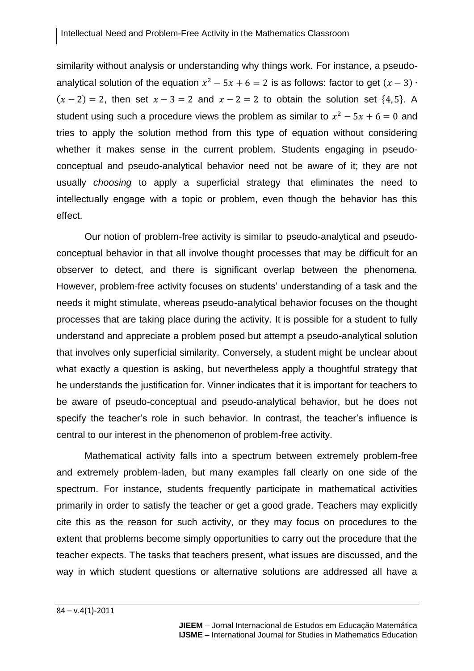similarity without analysis or understanding why things work. For instance, a pseudoanalytical solution of the equation  $x^2 - 5x + 6 = 2$  is as follows: factor to get (  $(x - 2) = 2$ , then set  $x - 3 = 2$  and  $x - 2 = 2$  to obtain the solution set  $\{4, 5\}$ . A student using such a procedure views the problem as similar to  $x^2 - 5x + 6 = 0$  and tries to apply the solution method from this type of equation without considering whether it makes sense in the current problem. Students engaging in pseudoconceptual and pseudo-analytical behavior need not be aware of it; they are not usually *choosing* to apply a superficial strategy that eliminates the need to intellectually engage with a topic or problem, even though the behavior has this effect.

Our notion of problem-free activity is similar to pseudo-analytical and pseudoconceptual behavior in that all involve thought processes that may be difficult for an observer to detect, and there is significant overlap between the phenomena. However, problem-free activity focuses on students' understanding of a task and the needs it might stimulate, whereas pseudo-analytical behavior focuses on the thought processes that are taking place during the activity. It is possible for a student to fully understand and appreciate a problem posed but attempt a pseudo-analytical solution that involves only superficial similarity. Conversely, a student might be unclear about what exactly a question is asking, but nevertheless apply a thoughtful strategy that he understands the justification for. Vinner indicates that it is important for teachers to be aware of pseudo-conceptual and pseudo-analytical behavior, but he does not specify the teacher's role in such behavior. In contrast, the teacher's influence is central to our interest in the phenomenon of problem-free activity.

Mathematical activity falls into a spectrum between extremely problem-free and extremely problem-laden, but many examples fall clearly on one side of the spectrum. For instance, students frequently participate in mathematical activities primarily in order to satisfy the teacher or get a good grade. Teachers may explicitly cite this as the reason for such activity, or they may focus on procedures to the extent that problems become simply opportunities to carry out the procedure that the teacher expects. The tasks that teachers present, what issues are discussed, and the way in which student questions or alternative solutions are addressed all have a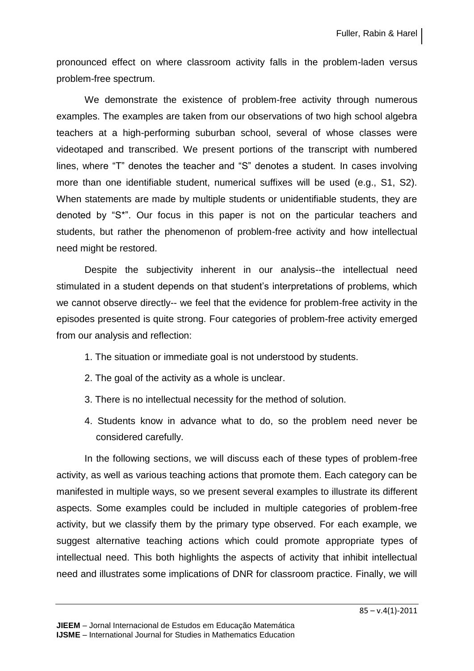pronounced effect on where classroom activity falls in the problem-laden versus problem-free spectrum.

We demonstrate the existence of problem-free activity through numerous examples. The examples are taken from our observations of two high school algebra teachers at a high-performing suburban school, several of whose classes were videotaped and transcribed. We present portions of the transcript with numbered lines, where "T" denotes the teacher and "S" denotes a student. In cases involving more than one identifiable student, numerical suffixes will be used (e.g., S1, S2). When statements are made by multiple students or unidentifiable students, they are denoted by "S\*". Our focus in this paper is not on the particular teachers and students, but rather the phenomenon of problem-free activity and how intellectual need might be restored.

Despite the subjectivity inherent in our analysis--the intellectual need stimulated in a student depends on that student's interpretations of problems, which we cannot observe directly-- we feel that the evidence for problem-free activity in the episodes presented is quite strong. Four categories of problem-free activity emerged from our analysis and reflection:

- 1. The situation or immediate goal is not understood by students.
- 2. The goal of the activity as a whole is unclear.
- 3. There is no intellectual necessity for the method of solution.
- 4. Students know in advance what to do, so the problem need never be considered carefully.

In the following sections, we will discuss each of these types of problem-free activity, as well as various teaching actions that promote them. Each category can be manifested in multiple ways, so we present several examples to illustrate its different aspects. Some examples could be included in multiple categories of problem-free activity, but we classify them by the primary type observed. For each example, we suggest alternative teaching actions which could promote appropriate types of intellectual need. This both highlights the aspects of activity that inhibit intellectual need and illustrates some implications of DNR for classroom practice. Finally, we will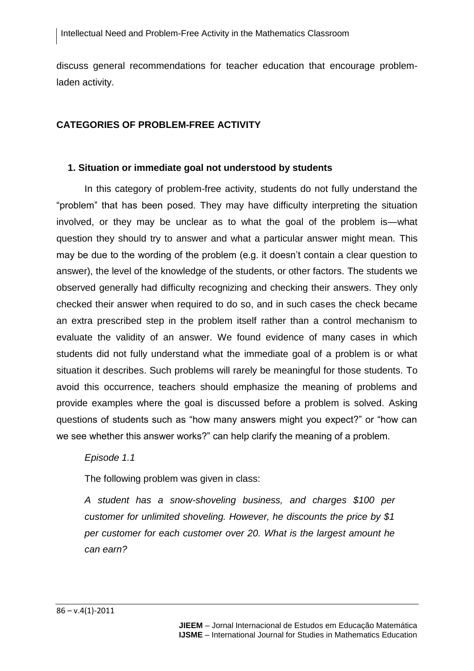discuss general recommendations for teacher education that encourage problemladen activity.

### **CATEGORIES OF PROBLEM-FREE ACTIVITY**

#### **1. Situation or immediate goal not understood by students**

In this category of problem-free activity, students do not fully understand the "problem" that has been posed. They may have difficulty interpreting the situation involved, or they may be unclear as to what the goal of the problem is—what question they should try to answer and what a particular answer might mean. This may be due to the wording of the problem (e.g. it doesn't contain a clear question to answer), the level of the knowledge of the students, or other factors. The students we observed generally had difficulty recognizing and checking their answers. They only checked their answer when required to do so, and in such cases the check became an extra prescribed step in the problem itself rather than a control mechanism to evaluate the validity of an answer. We found evidence of many cases in which students did not fully understand what the immediate goal of a problem is or what situation it describes. Such problems will rarely be meaningful for those students. To avoid this occurrence, teachers should emphasize the meaning of problems and provide examples where the goal is discussed before a problem is solved. Asking questions of students such as "how many answers might you expect?" or "how can we see whether this answer works?" can help clarify the meaning of a problem.

#### *Episode 1.1*

The following problem was given in class:

*A student has a snow-shoveling business, and charges \$100 per customer for unlimited shoveling. However, he discounts the price by \$1 per customer for each customer over 20. What is the largest amount he can earn?*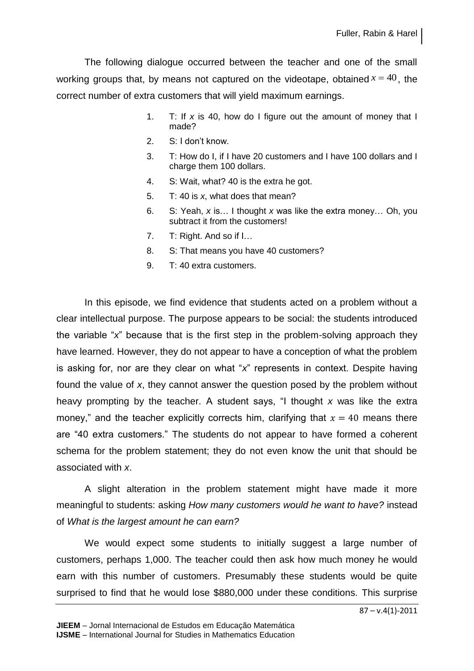The following dialogue occurred between the teacher and one of the small working groups that, by means not captured on the videotape, obtained  $x = 40$ , the correct number of extra customers that will yield maximum earnings.

- 1. T: If *x* is 40, how do I figure out the amount of money that I made?
- 2. S: I don't know.
- 3. T: How do I, if I have 20 customers and I have 100 dollars and I charge them 100 dollars.
- 4. S: Wait, what? 40 is the extra he got.
- 5. T: 40 is *x*, what does that mean?
- 6. S: Yeah, *x* is… I thought *x* was like the extra money… Oh, you subtract it from the customers!
- 7. T: Right. And so if I…
- 8. S: That means you have 40 customers?
- 9. T: 40 extra customers.

In this episode, we find evidence that students acted on a problem without a clear intellectual purpose. The purpose appears to be social: the students introduced the variable "*x*" because that is the first step in the problem-solving approach they have learned. However, they do not appear to have a conception of what the problem is asking for, nor are they clear on what "*x*" represents in context. Despite having found the value of *x*, they cannot answer the question posed by the problem without heavy prompting by the teacher. A student says, "I thought *x* was like the extra money," and the teacher explicitly corrects him, clarifying that  $x = 40$  means there are "40 extra customers." The students do not appear to have formed a coherent schema for the problem statement; they do not even know the unit that should be associated with *x*.

A slight alteration in the problem statement might have made it more meaningful to students: asking *How many customers would he want to have?* instead of *What is the largest amount he can earn?*

We would expect some students to initially suggest a large number of customers, perhaps 1,000. The teacher could then ask how much money he would earn with this number of customers. Presumably these students would be quite surprised to find that he would lose \$880,000 under these conditions. This surprise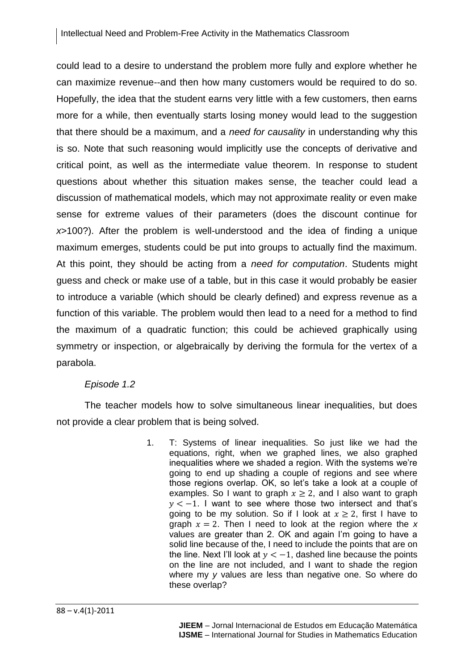could lead to a desire to understand the problem more fully and explore whether he can maximize revenue--and then how many customers would be required to do so. Hopefully, the idea that the student earns very little with a few customers, then earns more for a while, then eventually starts losing money would lead to the suggestion that there should be a maximum, and a *need for causality* in understanding why this is so. Note that such reasoning would implicitly use the concepts of derivative and critical point, as well as the intermediate value theorem. In response to student questions about whether this situation makes sense, the teacher could lead a discussion of mathematical models, which may not approximate reality or even make sense for extreme values of their parameters (does the discount continue for *x*>100?). After the problem is well-understood and the idea of finding a unique maximum emerges, students could be put into groups to actually find the maximum. At this point, they should be acting from a *need for computation*. Students might guess and check or make use of a table, but in this case it would probably be easier to introduce a variable (which should be clearly defined) and express revenue as a function of this variable. The problem would then lead to a need for a method to find the maximum of a quadratic function; this could be achieved graphically using symmetry or inspection, or algebraically by deriving the formula for the vertex of a parabola.

# *Episode 1.2*

The teacher models how to solve simultaneous linear inequalities, but does not provide a clear problem that is being solved.

> 1. T: Systems of linear inequalities. So just like we had the equations, right, when we graphed lines, we also graphed inequalities where we shaded a region. With the systems we're going to end up shading a couple of regions and see where those regions overlap. OK, so let's take a look at a couple of examples. So I want to graph  $x \geq 2$ , and I also want to graph  $y < -1$ . I want to see where those two intersect and that's going to be my solution. So if I look at  $x > 2$ , first I have to graph  $x = 2$ . Then I need to look at the region where the x values are greater than 2. OK and again I'm going to have a solid line because of the, I need to include the points that are on the line. Next I'll look at  $v < -1$ , dashed line because the points on the line are not included, and I want to shade the region where my *y* values are less than negative one. So where do these overlap?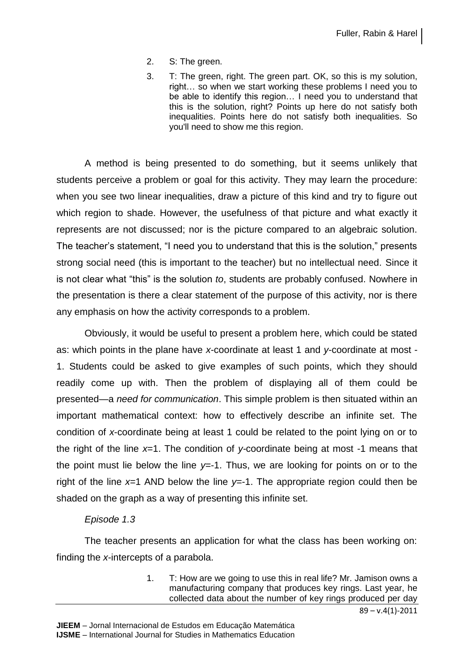- 2. S: The green.
- 3. T: The green, right. The green part. OK, so this is my solution, right… so when we start working these problems I need you to be able to identify this region… I need you to understand that this is the solution, right? Points up here do not satisfy both inequalities. Points here do not satisfy both inequalities. So you'll need to show me this region.

A method is being presented to do something, but it seems unlikely that students perceive a problem or goal for this activity. They may learn the procedure: when you see two linear inequalities, draw a picture of this kind and try to figure out which region to shade. However, the usefulness of that picture and what exactly it represents are not discussed; nor is the picture compared to an algebraic solution. The teacher's statement, "I need you to understand that this is the solution," presents strong social need (this is important to the teacher) but no intellectual need. Since it is not clear what "this" is the solution *to*, students are probably confused. Nowhere in the presentation is there a clear statement of the purpose of this activity, nor is there any emphasis on how the activity corresponds to a problem.

Obviously, it would be useful to present a problem here, which could be stated as: which points in the plane have *x*-coordinate at least 1 and *y*-coordinate at most - 1. Students could be asked to give examples of such points, which they should readily come up with. Then the problem of displaying all of them could be presented—a *need for communication*. This simple problem is then situated within an important mathematical context: how to effectively describe an infinite set. The condition of *x*-coordinate being at least 1 could be related to the point lying on or to the right of the line *x*=1. The condition of *y-*coordinate being at most -1 means that the point must lie below the line *y*=-1. Thus, we are looking for points on or to the right of the line *x*=1 AND below the line *y*=-1. The appropriate region could then be shaded on the graph as a way of presenting this infinite set.

#### *Episode 1.3*

The teacher presents an application for what the class has been working on: finding the *x*-intercepts of a parabola.

> 1. T: How are we going to use this in real life? Mr. Jamison owns a manufacturing company that produces key rings. Last year, he collected data about the number of key rings produced per day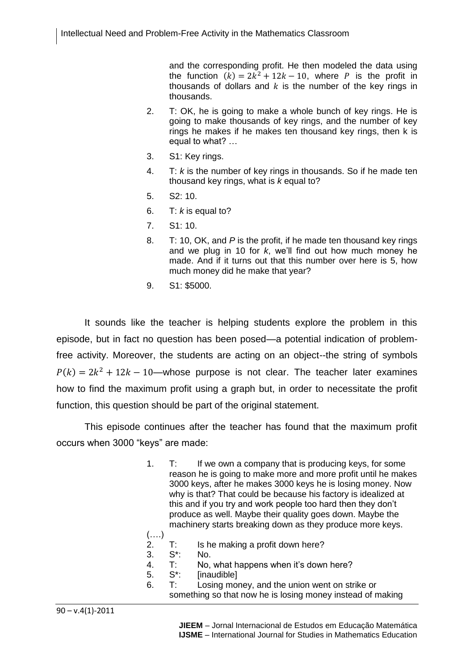and the corresponding profit. He then modeled the data using the function  $(k) = 2k^2 + 12k - 10$ , where P is the profit in thousands of dollars and  $k$  is the number of the key rings in thousands.

- 2. T: OK, he is going to make a whole bunch of key rings. He is going to make thousands of key rings, and the number of key rings he makes if he makes ten thousand key rings, then k is equal to what? …
- 3. S1: Key rings.
- 4. T: *k* is the number of key rings in thousands. So if he made ten thousand key rings, what is *k* equal to?
- 5. S2: 10.
- 6. T: *k* is equal to?
- 7. S1: 10.
- 8. T: 10, OK, and *P* is the profit, if he made ten thousand key rings and we plug in 10 for *k*, we'll find out how much money he made. And if it turns out that this number over here is 5, how much money did he make that year?
- 9. S1: \$5000.

It sounds like the teacher is helping students explore the problem in this episode, but in fact no question has been posed—a potential indication of problemfree activity. Moreover, the students are acting on an object--the string of symbols  $P(k) = 2k^2 + 12k - 10$ —whose purpose is not clear. The teacher later examines how to find the maximum profit using a graph but, in order to necessitate the profit function, this question should be part of the original statement.

This episode continues after the teacher has found that the maximum profit occurs when 3000 "keys" are made:

- 1. T: If we own a company that is producing keys, for some reason he is going to make more and more profit until he makes 3000 keys, after he makes 3000 keys he is losing money. Now why is that? That could be because his factory is idealized at this and if you try and work people too hard then they don't produce as well. Maybe their quality goes down. Maybe the machinery starts breaking down as they produce more keys.
- (….) 2.  $T:$  Is he making a profit down here?<br>3.  $S^*:$  No.
- 3. S\*: No.
- 4. T: No, what happens when it's down here?
- 5. S\*: [inaudible]
- 6. T: Losing money, and the union went on strike or something so that now he is losing money instead of making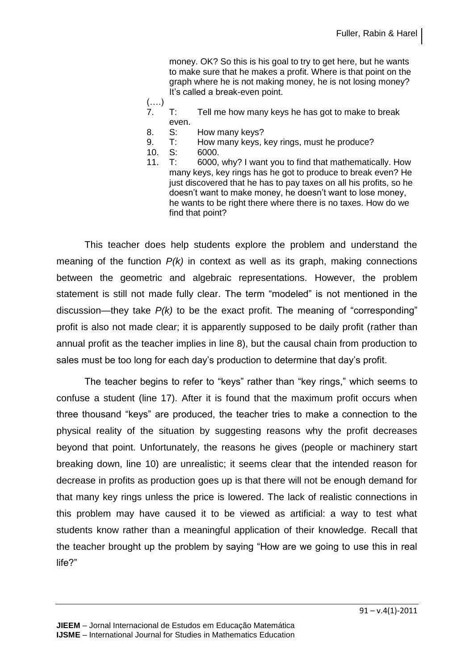money. OK? So this is his goal to try to get here, but he wants to make sure that he makes a profit. Where is that point on the graph where he is not making money, he is not losing money? It's called a break-even point.

- (….)
- 7. T: Tell me how many keys he has got to make to break even.
- 8. S: How many keys?
- 9. T: How many keys, key rings, must he produce?
- 10. S: 6000.
- 11. T: 6000, why? I want you to find that mathematically. How many keys, key rings has he got to produce to break even? He just discovered that he has to pay taxes on all his profits, so he doesn't want to make money, he doesn't want to lose money, he wants to be right there where there is no taxes. How do we find that point?

This teacher does help students explore the problem and understand the meaning of the function *P(k)* in context as well as its graph, making connections between the geometric and algebraic representations. However, the problem statement is still not made fully clear. The term "modeled" is not mentioned in the discussion—they take *P(k)* to be the exact profit. The meaning of "corresponding" profit is also not made clear; it is apparently supposed to be daily profit (rather than annual profit as the teacher implies in line 8), but the causal chain from production to sales must be too long for each day's production to determine that day's profit.

The teacher begins to refer to "keys" rather than "key rings," which seems to confuse a student (line 17). After it is found that the maximum profit occurs when three thousand "keys" are produced, the teacher tries to make a connection to the physical reality of the situation by suggesting reasons why the profit decreases beyond that point. Unfortunately, the reasons he gives (people or machinery start breaking down, line 10) are unrealistic; it seems clear that the intended reason for decrease in profits as production goes up is that there will not be enough demand for that many key rings unless the price is lowered. The lack of realistic connections in this problem may have caused it to be viewed as artificial: a way to test what students know rather than a meaningful application of their knowledge. Recall that the teacher brought up the problem by saying "How are we going to use this in real life?"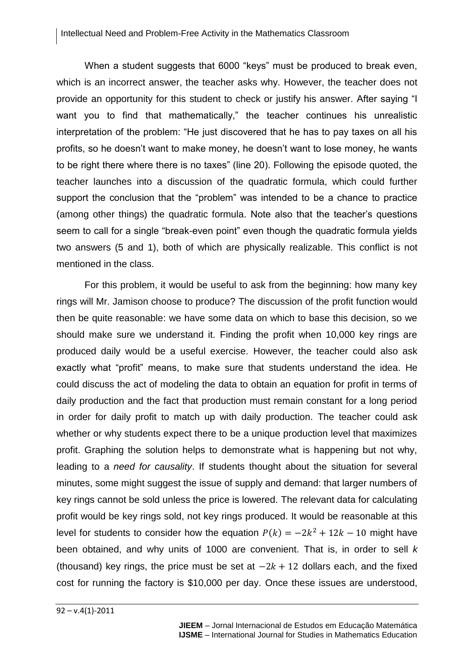When a student suggests that 6000 "keys" must be produced to break even, which is an incorrect answer, the teacher asks why. However, the teacher does not provide an opportunity for this student to check or justify his answer. After saying "I want you to find that mathematically," the teacher continues his unrealistic interpretation of the problem: "He just discovered that he has to pay taxes on all his profits, so he doesn't want to make money, he doesn't want to lose money, he wants to be right there where there is no taxes" (line 20). Following the episode quoted, the teacher launches into a discussion of the quadratic formula, which could further support the conclusion that the "problem" was intended to be a chance to practice (among other things) the quadratic formula. Note also that the teacher's questions seem to call for a single "break-even point" even though the quadratic formula yields two answers (5 and 1), both of which are physically realizable. This conflict is not mentioned in the class.

For this problem, it would be useful to ask from the beginning: how many key rings will Mr. Jamison choose to produce? The discussion of the profit function would then be quite reasonable: we have some data on which to base this decision, so we should make sure we understand it. Finding the profit when 10,000 key rings are produced daily would be a useful exercise. However, the teacher could also ask exactly what "profit" means, to make sure that students understand the idea. He could discuss the act of modeling the data to obtain an equation for profit in terms of daily production and the fact that production must remain constant for a long period in order for daily profit to match up with daily production. The teacher could ask whether or why students expect there to be a unique production level that maximizes profit. Graphing the solution helps to demonstrate what is happening but not why, leading to a *need for causality*. If students thought about the situation for several minutes, some might suggest the issue of supply and demand: that larger numbers of key rings cannot be sold unless the price is lowered. The relevant data for calculating profit would be key rings sold, not key rings produced. It would be reasonable at this level for students to consider how the equation  $P(k) = -2k^2 + 12k - 10$  might have been obtained, and why units of 1000 are convenient. That is, in order to sell *k* (thousand) key rings, the price must be set at  $-2k + 12$  dollars each, and the fixed cost for running the factory is \$10,000 per day. Once these issues are understood,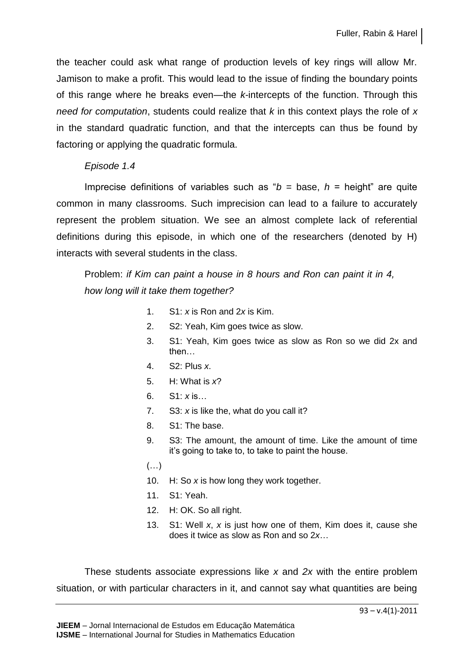the teacher could ask what range of production levels of key rings will allow Mr. Jamison to make a profit. This would lead to the issue of finding the boundary points of this range where he breaks even—the *k*-intercepts of the function. Through this *need for computation*, students could realize that *k* in this context plays the role of *x* in the standard quadratic function, and that the intercepts can thus be found by factoring or applying the quadratic formula.

#### *Episode 1.4*

Imprecise definitions of variables such as " $b =$  base,  $h =$  height" are quite common in many classrooms. Such imprecision can lead to a failure to accurately represent the problem situation. We see an almost complete lack of referential definitions during this episode, in which one of the researchers (denoted by H) interacts with several students in the class.

# Problem: *if Kim can paint a house in 8 hours and Ron can paint it in 4, how long will it take them together?*

- 1. S1: *x* is Ron and 2*x* is Kim.
- 2. S2: Yeah, Kim goes twice as slow.
- 3. S1: Yeah, Kim goes twice as slow as Ron so we did 2x and then…
- 4. S2: Plus *x*.
- 5. H: What is *x*?
- 6. S1: *x* is…
- 7. S3: *x* is like the, what do you call it?
- 8. S1: The base.
- 9. S3: The amount, the amount of time. Like the amount of time it's going to take to, to take to paint the house.
- (…)
- 10. H: So *x* is how long they work together.
- 11. S1: Yeah.
- 12. H: OK. So all right.
- 13. S1: Well *x*, *x* is just how one of them, Kim does it, cause she does it twice as slow as Ron and so 2*x*…

These students associate expressions like *x* and *2x* with the entire problem situation, or with particular characters in it, and cannot say what quantities are being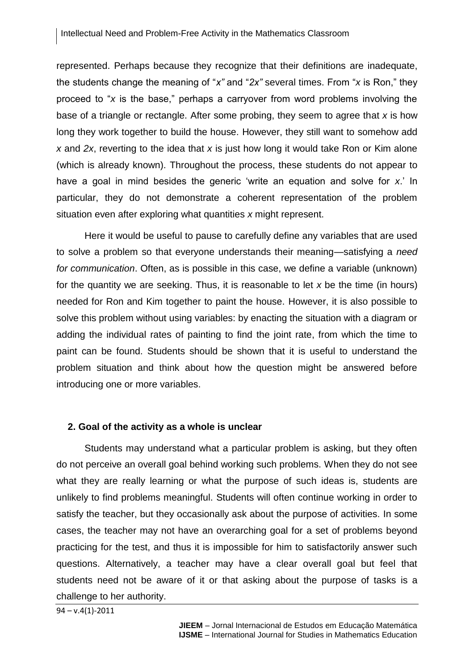represented. Perhaps because they recognize that their definitions are inadequate, the students change the meaning of "*x"* and "*2x"* several times. From "*x* is Ron," they proceed to "*x* is the base," perhaps a carryover from word problems involving the base of a triangle or rectangle. After some probing, they seem to agree that *x* is how long they work together to build the house. However, they still want to somehow add *x* and *2x*, reverting to the idea that *x* is just how long it would take Ron or Kim alone (which is already known). Throughout the process, these students do not appear to have a goal in mind besides the generic 'write an equation and solve for *x*.' In particular, they do not demonstrate a coherent representation of the problem situation even after exploring what quantities *x* might represent.

Here it would be useful to pause to carefully define any variables that are used to solve a problem so that everyone understands their meaning—satisfying a *need for communication*. Often, as is possible in this case, we define a variable (unknown) for the quantity we are seeking. Thus, it is reasonable to let *x* be the time (in hours) needed for Ron and Kim together to paint the house. However, it is also possible to solve this problem without using variables: by enacting the situation with a diagram or adding the individual rates of painting to find the joint rate, from which the time to paint can be found. Students should be shown that it is useful to understand the problem situation and think about how the question might be answered before introducing one or more variables.

#### **2. Goal of the activity as a whole is unclear**

Students may understand what a particular problem is asking, but they often do not perceive an overall goal behind working such problems. When they do not see what they are really learning or what the purpose of such ideas is, students are unlikely to find problems meaningful. Students will often continue working in order to satisfy the teacher, but they occasionally ask about the purpose of activities. In some cases, the teacher may not have an overarching goal for a set of problems beyond practicing for the test, and thus it is impossible for him to satisfactorily answer such questions. Alternatively, a teacher may have a clear overall goal but feel that students need not be aware of it or that asking about the purpose of tasks is a challenge to her authority.

```
94 – v.4(1)-2011
```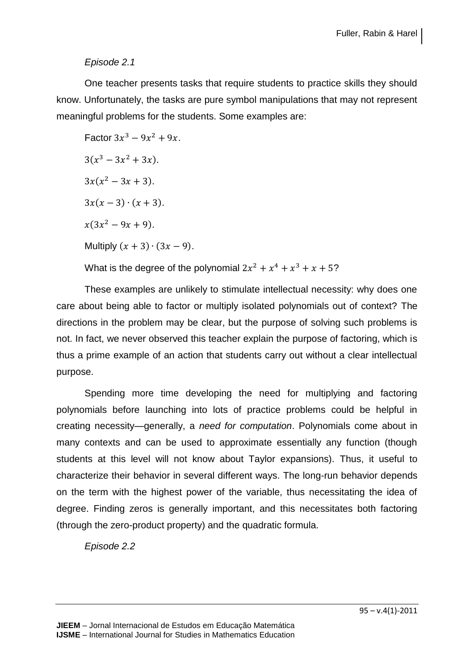# *Episode 2.1*

One teacher presents tasks that require students to practice skills they should know. Unfortunately, the tasks are pure symbol manipulations that may not represent meaningful problems for the students. Some examples are:

Factor 
$$
3x^3 - 9x^2 + 9x
$$
.  
\n $3(x^3 - 3x^2 + 3x)$ .  
\n $3x(x^2 - 3x + 3)$ .  
\n $3x(x - 3) \cdot (x + 3)$ .  
\n $x(3x^2 - 9x + 9)$ .  
\nMultiply  $(x + 3) \cdot (3x - 9)$ .  
\nWhat is the degree of the polynomial  $2x^2 + x^4 + x^3 + x + 5$ ?

These examples are unlikely to stimulate intellectual necessity: why does one care about being able to factor or multiply isolated polynomials out of context? The directions in the problem may be clear, but the purpose of solving such problems is not. In fact, we never observed this teacher explain the purpose of factoring, which is thus a prime example of an action that students carry out without a clear intellectual purpose.

Spending more time developing the need for multiplying and factoring polynomials before launching into lots of practice problems could be helpful in creating necessity—generally, a *need for computation*. Polynomials come about in many contexts and can be used to approximate essentially any function (though students at this level will not know about Taylor expansions). Thus, it useful to characterize their behavior in several different ways. The long-run behavior depends on the term with the highest power of the variable, thus necessitating the idea of degree. Finding zeros is generally important, and this necessitates both factoring (through the zero-product property) and the quadratic formula.

*Episode 2.2*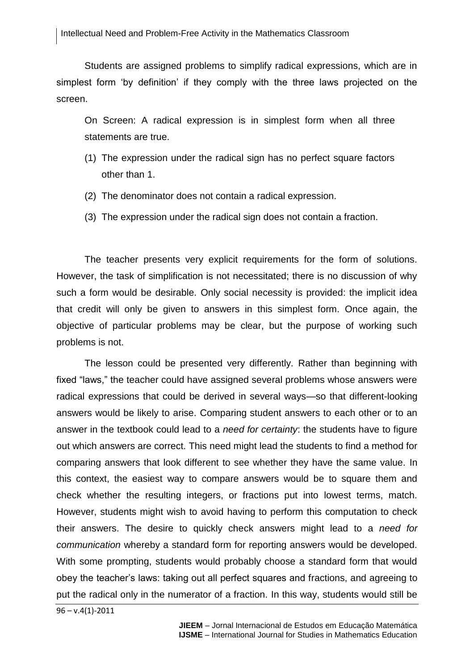Students are assigned problems to simplify radical expressions, which are in simplest form 'by definition' if they comply with the three laws projected on the screen.

On Screen: A radical expression is in simplest form when all three statements are true.

- (1) The expression under the radical sign has no perfect square factors other than 1.
- (2) The denominator does not contain a radical expression.
- (3) The expression under the radical sign does not contain a fraction.

The teacher presents very explicit requirements for the form of solutions. However, the task of simplification is not necessitated; there is no discussion of why such a form would be desirable. Only social necessity is provided: the implicit idea that credit will only be given to answers in this simplest form. Once again, the objective of particular problems may be clear, but the purpose of working such problems is not.

The lesson could be presented very differently. Rather than beginning with fixed "laws," the teacher could have assigned several problems whose answers were radical expressions that could be derived in several ways—so that different-looking answers would be likely to arise. Comparing student answers to each other or to an answer in the textbook could lead to a *need for certainty*: the students have to figure out which answers are correct. This need might lead the students to find a method for comparing answers that look different to see whether they have the same value. In this context, the easiest way to compare answers would be to square them and check whether the resulting integers, or fractions put into lowest terms, match. However, students might wish to avoid having to perform this computation to check their answers. The desire to quickly check answers might lead to a *need for communication* whereby a standard form for reporting answers would be developed. With some prompting, students would probably choose a standard form that would obey the teacher's laws: taking out all perfect squares and fractions, and agreeing to put the radical only in the numerator of a fraction. In this way, students would still be

 $96 - v.4(1) - 2011$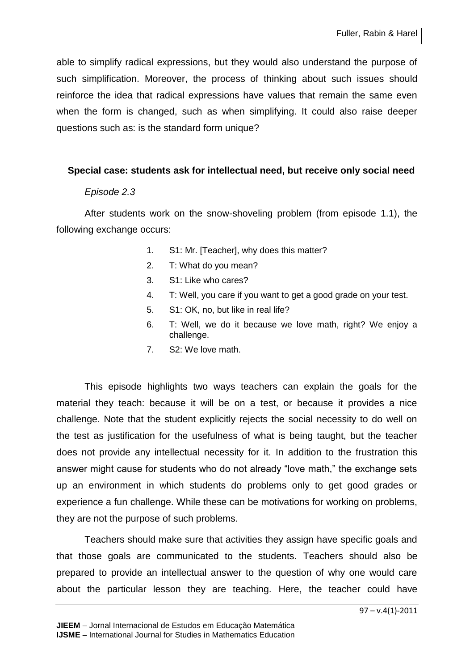able to simplify radical expressions, but they would also understand the purpose of such simplification. Moreover, the process of thinking about such issues should reinforce the idea that radical expressions have values that remain the same even when the form is changed, such as when simplifying. It could also raise deeper questions such as: is the standard form unique?

# **Special case: students ask for intellectual need, but receive only social need**

#### *Episode 2.3*

After students work on the snow-shoveling problem (from episode 1.1), the following exchange occurs:

- 1. S1: Mr. [Teacher], why does this matter?
- 2. T: What do you mean?
- 3. S1: Like who cares?
- 4. T: Well, you care if you want to get a good grade on your test.
- 5. S1: OK, no, but like in real life?
- 6. T: Well, we do it because we love math, right? We enjoy a challenge.
- 7. S2: We love math.

This episode highlights two ways teachers can explain the goals for the material they teach: because it will be on a test, or because it provides a nice challenge. Note that the student explicitly rejects the social necessity to do well on the test as justification for the usefulness of what is being taught, but the teacher does not provide any intellectual necessity for it. In addition to the frustration this answer might cause for students who do not already "love math," the exchange sets up an environment in which students do problems only to get good grades or experience a fun challenge. While these can be motivations for working on problems, they are not the purpose of such problems.

Teachers should make sure that activities they assign have specific goals and that those goals are communicated to the students. Teachers should also be prepared to provide an intellectual answer to the question of why one would care about the particular lesson they are teaching. Here, the teacher could have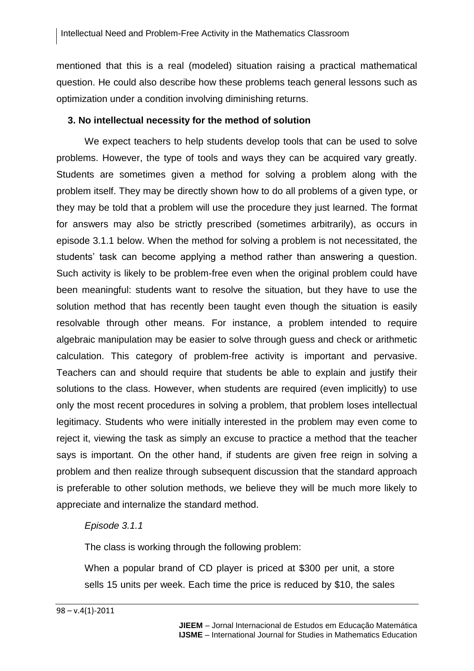mentioned that this is a real (modeled) situation raising a practical mathematical question. He could also describe how these problems teach general lessons such as optimization under a condition involving diminishing returns.

#### **3. No intellectual necessity for the method of solution**

We expect teachers to help students develop tools that can be used to solve problems. However, the type of tools and ways they can be acquired vary greatly. Students are sometimes given a method for solving a problem along with the problem itself. They may be directly shown how to do all problems of a given type, or they may be told that a problem will use the procedure they just learned. The format for answers may also be strictly prescribed (sometimes arbitrarily), as occurs in episode 3.1.1 below. When the method for solving a problem is not necessitated, the students' task can become applying a method rather than answering a question. Such activity is likely to be problem-free even when the original problem could have been meaningful: students want to resolve the situation, but they have to use the solution method that has recently been taught even though the situation is easily resolvable through other means. For instance, a problem intended to require algebraic manipulation may be easier to solve through guess and check or arithmetic calculation. This category of problem-free activity is important and pervasive. Teachers can and should require that students be able to explain and justify their solutions to the class. However, when students are required (even implicitly) to use only the most recent procedures in solving a problem, that problem loses intellectual legitimacy. Students who were initially interested in the problem may even come to reject it, viewing the task as simply an excuse to practice a method that the teacher says is important. On the other hand, if students are given free reign in solving a problem and then realize through subsequent discussion that the standard approach is preferable to other solution methods, we believe they will be much more likely to appreciate and internalize the standard method.

#### *Episode 3.1.1*

The class is working through the following problem:

When a popular brand of CD player is priced at \$300 per unit, a store sells 15 units per week. Each time the price is reduced by \$10, the sales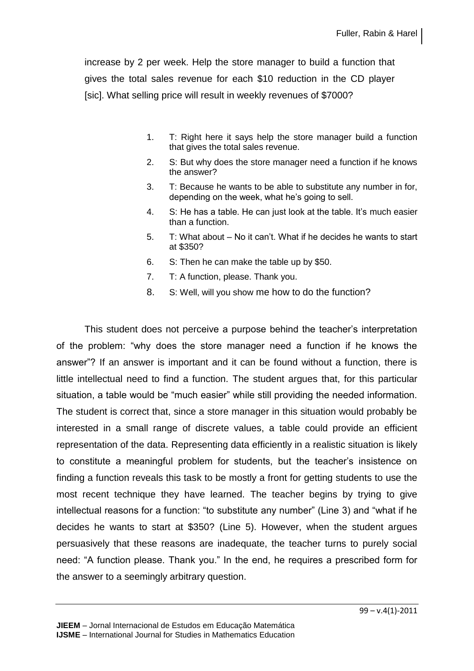increase by 2 per week. Help the store manager to build a function that gives the total sales revenue for each \$10 reduction in the CD player [sic]. What selling price will result in weekly revenues of \$7000?

- 1. T: Right here it says help the store manager build a function that gives the total sales revenue.
- 2. S: But why does the store manager need a function if he knows the answer?
- 3. T: Because he wants to be able to substitute any number in for, depending on the week, what he's going to sell.
- 4. S: He has a table. He can just look at the table. It's much easier than a function.
- 5. T: What about No it can't. What if he decides he wants to start at \$350?
- 6. S: Then he can make the table up by \$50.
- 7. T: A function, please. Thank you.
- 8. S: Well, will you show me how to do the function?

This student does not perceive a purpose behind the teacher's interpretation of the problem: "why does the store manager need a function if he knows the answer"? If an answer is important and it can be found without a function, there is little intellectual need to find a function. The student argues that, for this particular situation, a table would be "much easier" while still providing the needed information. The student is correct that, since a store manager in this situation would probably be interested in a small range of discrete values, a table could provide an efficient representation of the data. Representing data efficiently in a realistic situation is likely to constitute a meaningful problem for students, but the teacher's insistence on finding a function reveals this task to be mostly a front for getting students to use the most recent technique they have learned. The teacher begins by trying to give intellectual reasons for a function: "to substitute any number" (Line 3) and "what if he decides he wants to start at \$350? (Line 5). However, when the student argues persuasively that these reasons are inadequate, the teacher turns to purely social need: "A function please. Thank you." In the end, he requires a prescribed form for the answer to a seemingly arbitrary question.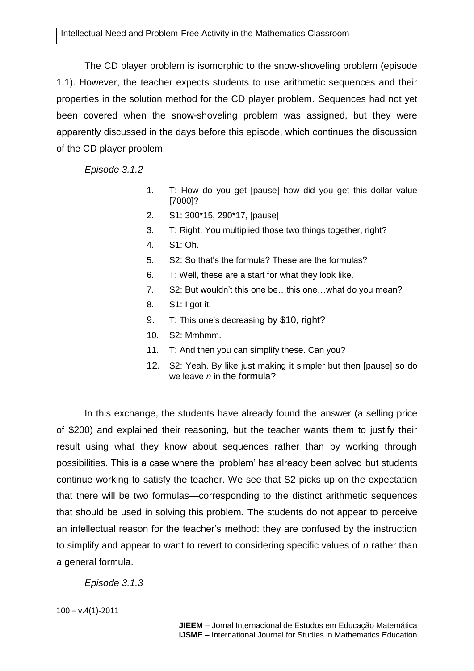The CD player problem is isomorphic to the snow-shoveling problem (episode 1.1). However, the teacher expects students to use arithmetic sequences and their properties in the solution method for the CD player problem. Sequences had not yet been covered when the snow-shoveling problem was assigned, but they were apparently discussed in the days before this episode, which continues the discussion of the CD player problem.

*Episode 3.1.2*

- 1. T: How do you get [pause] how did you get this dollar value [7000]?
- 2. S1: 300\*15, 290\*17, [pause]
- 3. T: Right. You multiplied those two things together, right?
- 4. S1: Oh.
- 5. S2: So that's the formula? These are the formulas?
- 6. T: Well, these are a start for what they look like.
- 7. S2: But wouldn't this one be…this one…what do you mean?
- 8. S1: I got it.
- 9. T: This one's decreasing by \$10, right?
- 10. S2: Mmhmm.
- 11. T: And then you can simplify these. Can you?
- 12. S2: Yeah. By like just making it simpler but then [pause] so do we leave *n* in the formula?

In this exchange, the students have already found the answer (a selling price of \$200) and explained their reasoning, but the teacher wants them to justify their result using what they know about sequences rather than by working through possibilities. This is a case where the 'problem' has already been solved but students continue working to satisfy the teacher. We see that S2 picks up on the expectation that there will be two formulas—corresponding to the distinct arithmetic sequences that should be used in solving this problem. The students do not appear to perceive an intellectual reason for the teacher's method: they are confused by the instruction to simplify and appear to want to revert to considering specific values of *n* rather than a general formula.

*Episode 3.1.3*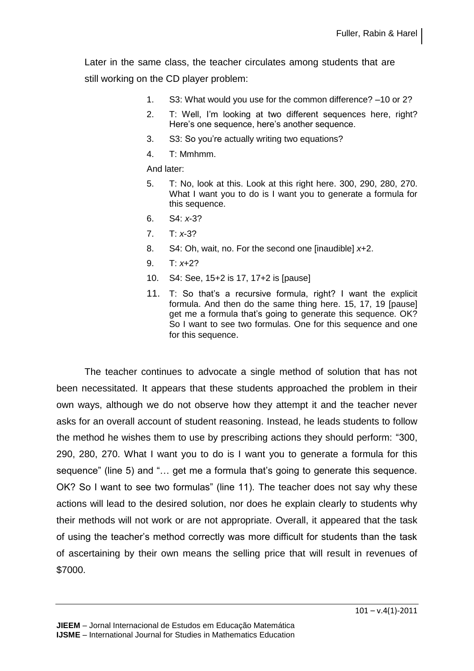Later in the same class, the teacher circulates among students that are still working on the CD player problem:

- 1. S3: What would you use for the common difference? –10 or 2?
- 2. T: Well, I'm looking at two different sequences here, right? Here's one sequence, here's another sequence.
- 3. S3: So you're actually writing two equations?
- 4. T: Mmhmm.

And later:

- 5. T: No, look at this. Look at this right here. 300, 290, 280, 270. What I want you to do is I want you to generate a formula for this sequence.
- 6. S4: *x*-3?
- 7. T: *x*-3?
- 8. S4: Oh, wait, no. For the second one [inaudible] *x*+2.
- 9. T: *x*+2?
- 10. S4: See, 15+2 is 17, 17+2 is [pause]
- 11. T: So that's a recursive formula, right? I want the explicit formula. And then do the same thing here. 15, 17, 19 [pause] get me a formula that's going to generate this sequence. OK? So I want to see two formulas. One for this sequence and one for this sequence.

The teacher continues to advocate a single method of solution that has not been necessitated. It appears that these students approached the problem in their own ways, although we do not observe how they attempt it and the teacher never asks for an overall account of student reasoning. Instead, he leads students to follow the method he wishes them to use by prescribing actions they should perform: "300, 290, 280, 270. What I want you to do is I want you to generate a formula for this sequence" (line 5) and "… get me a formula that's going to generate this sequence. OK? So I want to see two formulas" (line 11). The teacher does not say why these actions will lead to the desired solution, nor does he explain clearly to students why their methods will not work or are not appropriate. Overall, it appeared that the task of using the teacher's method correctly was more difficult for students than the task of ascertaining by their own means the selling price that will result in revenues of \$7000.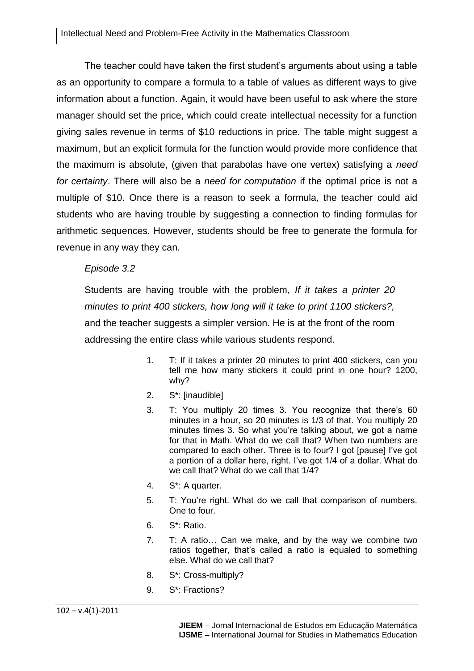The teacher could have taken the first student's arguments about using a table as an opportunity to compare a formula to a table of values as different ways to give information about a function. Again, it would have been useful to ask where the store manager should set the price, which could create intellectual necessity for a function giving sales revenue in terms of \$10 reductions in price. The table might suggest a maximum, but an explicit formula for the function would provide more confidence that the maximum is absolute, (given that parabolas have one vertex) satisfying a *need for certainty*. There will also be a *need for computation* if the optimal price is not a multiple of \$10. Once there is a reason to seek a formula, the teacher could aid students who are having trouble by suggesting a connection to finding formulas for arithmetic sequences. However, students should be free to generate the formula for revenue in any way they can.

#### *Episode 3.2*

Students are having trouble with the problem, *If it takes a printer 20 minutes to print 400 stickers, how long will it take to print 1100 stickers?,* and the teacher suggests a simpler version. He is at the front of the room addressing the entire class while various students respond.

- 1. T: If it takes a printer 20 minutes to print 400 stickers, can you tell me how many stickers it could print in one hour? 1200, why?
- 2. S\*: [inaudible]
- 3. T: You multiply 20 times 3. You recognize that there's 60 minutes in a hour, so 20 minutes is 1/3 of that. You multiply 20 minutes times 3. So what you're talking about, we got a name for that in Math. What do we call that? When two numbers are compared to each other. Three is to four? I got [pause] I've got a portion of a dollar here, right. I've got 1/4 of a dollar. What do we call that? What do we call that 1/4?
- 4. S\*: A quarter.
- 5. T: You're right. What do we call that comparison of numbers. One to four.
- 6. S\*: Ratio.
- 7. T: A ratio… Can we make, and by the way we combine two ratios together, that's called a ratio is equaled to something else. What do we call that?
- 8. S\*: Cross-multiply?
- 9. S\*: Fractions?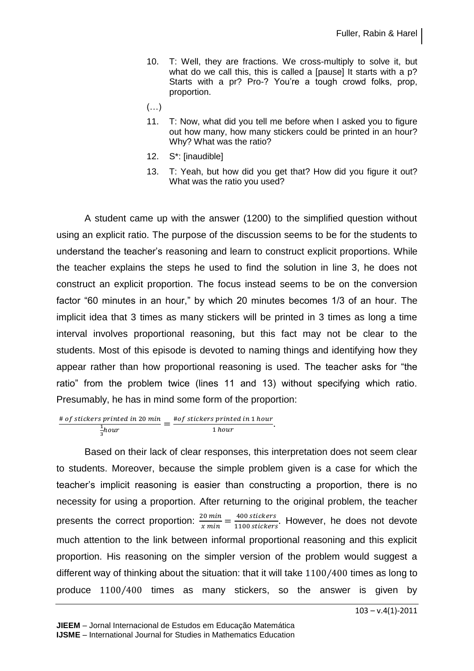- 10. T: Well, they are fractions. We cross-multiply to solve it, but what do we call this, this is called a [pause] It starts with a p? Starts with a pr? Pro-? You're a tough crowd folks, prop, proportion.
- $(\ldots)$
- 11. T: Now, what did you tell me before when I asked you to figure out how many, how many stickers could be printed in an hour? Why? What was the ratio?
- 12. S\*: [inaudible]
- 13. T: Yeah, but how did you get that? How did you figure it out? What was the ratio you used?

A student came up with the answer (1200) to the simplified question without using an explicit ratio. The purpose of the discussion seems to be for the students to understand the teacher's reasoning and learn to construct explicit proportions. While the teacher explains the steps he used to find the solution in line 3, he does not construct an explicit proportion. The focus instead seems to be on the conversion factor "60 minutes in an hour," by which 20 minutes becomes 1/3 of an hour. The implicit idea that 3 times as many stickers will be printed in 3 times as long a time interval involves proportional reasoning, but this fact may not be clear to the students. Most of this episode is devoted to naming things and identifying how they appear rather than how proportional reasoning is used. The teacher asks for "the ratio" from the problem twice (lines 11 and 13) without specifying which ratio. Presumably, he has in mind some form of the proportion:

 $#$ 1  $\frac{1}{3}$ hour<br> $\frac{1}{3}$ hour  $\frac{1}{2}$  hour.

Based on their lack of clear responses, this interpretation does not seem clear to students. Moreover, because the simple problem given is a case for which the teacher's implicit reasoning is easier than constructing a proportion, there is no necessity for using a proportion. After returning to the original problem, the teacher presents the correct proportion:  $\frac{20 \text{ min}}{x \text{ min}} = \frac{4}{11}$  $\frac{400 \, \text{Stickers}}{1100 \, \text{stickers}}$ . However, he does not devote much attention to the link between informal proportional reasoning and this explicit proportion. His reasoning on the simpler version of the problem would suggest a different way of thinking about the situation: that it will take  $1100/400$  times as long to produce 1100/400 times as many stickers, so the answer is given by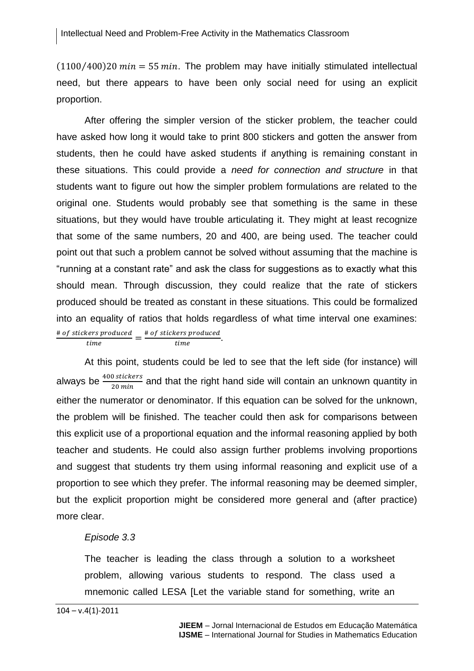$(1100/400)20 min = 55 min$ . The problem may have initially stimulated intellectual need, but there appears to have been only social need for using an explicit proportion.

After offering the simpler version of the sticker problem, the teacher could have asked how long it would take to print 800 stickers and gotten the answer from students, then he could have asked students if anything is remaining constant in these situations. This could provide a *need for connection and structure* in that students want to figure out how the simpler problem formulations are related to the original one. Students would probably see that something is the same in these situations, but they would have trouble articulating it. They might at least recognize that some of the same numbers, 20 and 400, are being used. The teacher could point out that such a problem cannot be solved without assuming that the machine is "running at a constant rate" and ask the class for suggestions as to exactly what this should mean. Through discussion, they could realize that the rate of stickers produced should be treated as constant in these situations. This could be formalized into an equality of ratios that holds regardless of what time interval one examines: #  $\frac{vers\ produced}{time} = \frac{\#}{time}$  $\frac{\text{terms produced}}{\text{time}}$ .

At this point, students could be led to see that the left side (for instance) will always be  $\frac{400 \, stickers}{20 \, min}$  and that the right hand side will contain an unknown quantity in either the numerator or denominator. If this equation can be solved for the unknown, the problem will be finished. The teacher could then ask for comparisons between this explicit use of a proportional equation and the informal reasoning applied by both teacher and students. He could also assign further problems involving proportions and suggest that students try them using informal reasoning and explicit use of a proportion to see which they prefer. The informal reasoning may be deemed simpler, but the explicit proportion might be considered more general and (after practice) more clear.

#### *Episode 3.3*

The teacher is leading the class through a solution to a worksheet problem, allowing various students to respond. The class used a mnemonic called LESA [Let the variable stand for something, write an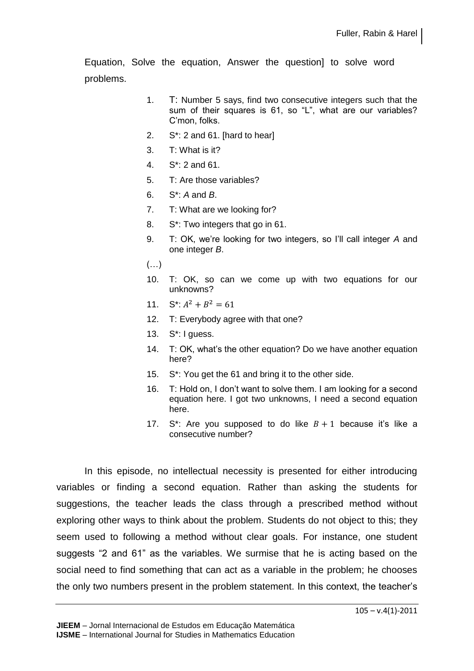Equation, Solve the equation, Answer the question] to solve word problems.

- 1. T: Number 5 says, find two consecutive integers such that the sum of their squares is 61, so "L", what are our variables? C'mon, folks.
- 2. S\*: 2 and 61. [hard to hear]
- 3. T: What is it?
- 4. S\*: 2 and 61.
- 5. T: Are those variables?
- 6. S\*: *A* and *B*.
- 7. T: What are we looking for?
- 8. S\*: Two integers that go in 61.
- 9. T: OK, we're looking for two integers, so I'll call integer *A* and one integer *B*.
- (…)
- 10. T: OK, so can we come up with two equations for our unknowns?
- 11.  $S^*$ :  $A^2 + B^2$
- 12. T: Everybody agree with that one?
- 13. S\*: I guess.
- 14. T: OK, what's the other equation? Do we have another equation here?
- 15. S\*: You get the 61 and bring it to the other side.
- 16. T: Hold on, I don't want to solve them. I am looking for a second equation here. I got two unknowns, I need a second equation here.
- 17. S<sup>\*</sup>: Are you supposed to do like  $B+1$  because it's like a consecutive number?

In this episode, no intellectual necessity is presented for either introducing variables or finding a second equation. Rather than asking the students for suggestions, the teacher leads the class through a prescribed method without exploring other ways to think about the problem. Students do not object to this; they seem used to following a method without clear goals. For instance, one student suggests "2 and 61" as the variables. We surmise that he is acting based on the social need to find something that can act as a variable in the problem; he chooses the only two numbers present in the problem statement. In this context, the teacher's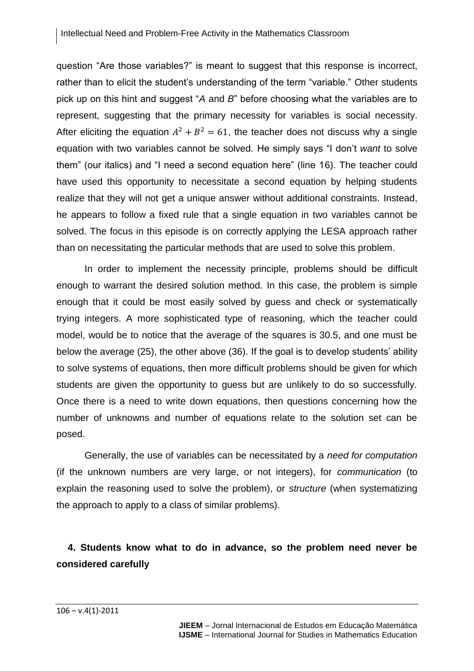question "Are those variables?" is meant to suggest that this response is incorrect, rather than to elicit the student's understanding of the term "variable." Other students pick up on this hint and suggest "*A* and *B*" before choosing what the variables are to represent, suggesting that the primary necessity for variables is social necessity. After eliciting the equation  $A^2 + B^2 = 61$ , the teacher does not discuss why a single equation with two variables cannot be solved. He simply says "I don't *want* to solve them" (our italics) and "I need a second equation here" (line 16). The teacher could have used this opportunity to necessitate a second equation by helping students realize that they will not get a unique answer without additional constraints. Instead, he appears to follow a fixed rule that a single equation in two variables cannot be solved. The focus in this episode is on correctly applying the LESA approach rather than on necessitating the particular methods that are used to solve this problem.

In order to implement the necessity principle, problems should be difficult enough to warrant the desired solution method. In this case, the problem is simple enough that it could be most easily solved by guess and check or systematically trying integers. A more sophisticated type of reasoning, which the teacher could model, would be to notice that the average of the squares is 30.5, and one must be below the average (25), the other above (36). If the goal is to develop students' ability to solve systems of equations, then more difficult problems should be given for which students are given the opportunity to guess but are unlikely to do so successfully. Once there is a need to write down equations, then questions concerning how the number of unknowns and number of equations relate to the solution set can be posed.

Generally, the use of variables can be necessitated by a *need for computation* (if the unknown numbers are very large, or not integers), for *communication* (to explain the reasoning used to solve the problem), or *structure* (when systematizing the approach to apply to a class of similar problems).

# **4. Students know what to do in advance, so the problem need never be considered carefully**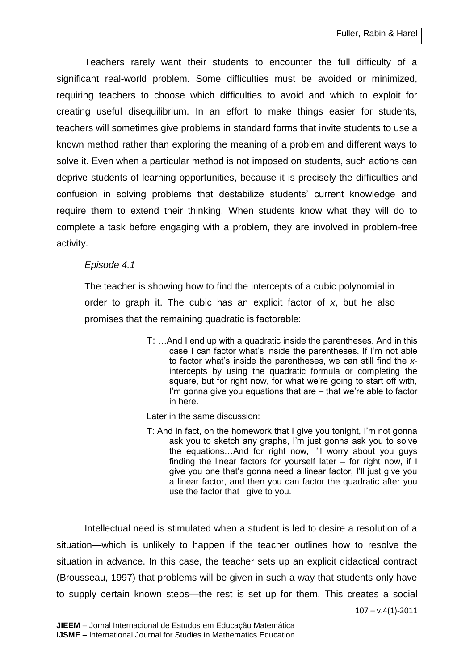Teachers rarely want their students to encounter the full difficulty of a significant real-world problem. Some difficulties must be avoided or minimized, requiring teachers to choose which difficulties to avoid and which to exploit for creating useful disequilibrium. In an effort to make things easier for students, teachers will sometimes give problems in standard forms that invite students to use a known method rather than exploring the meaning of a problem and different ways to solve it. Even when a particular method is not imposed on students, such actions can deprive students of learning opportunities, because it is precisely the difficulties and confusion in solving problems that destabilize students' current knowledge and require them to extend their thinking. When students know what they will do to complete a task before engaging with a problem, they are involved in problem-free activity.

#### *Episode 4.1*

The teacher is showing how to find the intercepts of a cubic polynomial in order to graph it. The cubic has an explicit factor of *x*, but he also promises that the remaining quadratic is factorable:

> T: …And I end up with a quadratic inside the parentheses. And in this case I can factor what's inside the parentheses. If I'm not able to factor what's inside the parentheses, we can still find the *x*intercepts by using the quadratic formula or completing the square, but for right now, for what we're going to start off with, I'm gonna give you equations that are – that we're able to factor in here.

Later in the same discussion:

T: And in fact, on the homework that I give you tonight, I'm not gonna ask you to sketch any graphs, I'm just gonna ask you to solve the equations…And for right now, I'll worry about you guys finding the linear factors for yourself later – for right now, if I give you one that's gonna need a linear factor, I'll just give you a linear factor, and then you can factor the quadratic after you use the factor that I give to you.

Intellectual need is stimulated when a student is led to desire a resolution of a situation—which is unlikely to happen if the teacher outlines how to resolve the situation in advance. In this case, the teacher sets up an explicit didactical contract (Brousseau, 1997) that problems will be given in such a way that students only have to supply certain known steps—the rest is set up for them. This creates a social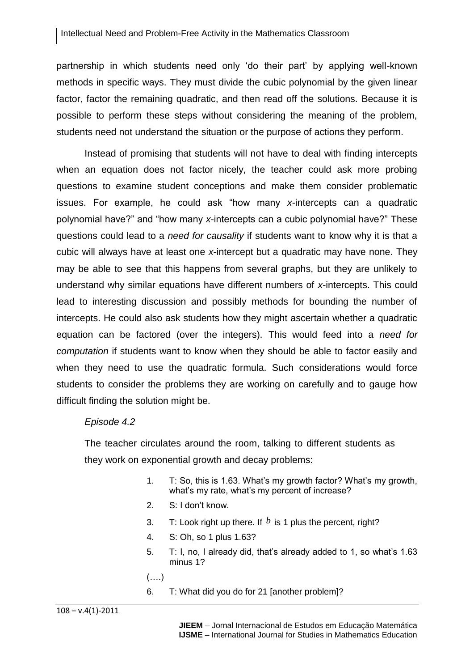partnership in which students need only 'do their part' by applying well-known methods in specific ways. They must divide the cubic polynomial by the given linear factor, factor the remaining quadratic, and then read off the solutions. Because it is possible to perform these steps without considering the meaning of the problem, students need not understand the situation or the purpose of actions they perform.

Instead of promising that students will not have to deal with finding intercepts when an equation does not factor nicely, the teacher could ask more probing questions to examine student conceptions and make them consider problematic issues. For example, he could ask "how many *x*-intercepts can a quadratic polynomial have?" and "how many *x*-intercepts can a cubic polynomial have?" These questions could lead to a *need for causality* if students want to know why it is that a cubic will always have at least one *x*-intercept but a quadratic may have none. They may be able to see that this happens from several graphs, but they are unlikely to understand why similar equations have different numbers of *x*-intercepts. This could lead to interesting discussion and possibly methods for bounding the number of intercepts. He could also ask students how they might ascertain whether a quadratic equation can be factored (over the integers). This would feed into a *need for computation* if students want to know when they should be able to factor easily and when they need to use the quadratic formula. Such considerations would force students to consider the problems they are working on carefully and to gauge how difficult finding the solution might be.

#### *Episode 4.2*

The teacher circulates around the room, talking to different students as they work on exponential growth and decay problems:

- 1. T: So, this is 1.63. What's my growth factor? What's my growth, what's my rate, what's my percent of increase?
- 2. S: I don't know.
- 3. T: Look right up there. If  $b$  is 1 plus the percent, right?
- 4. S: Oh, so 1 plus 1.63?
- 5. T: I, no, I already did, that's already added to 1, so what's 1.63 minus 1?
- (….)
- 6. T: What did you do for 21 [another problem]?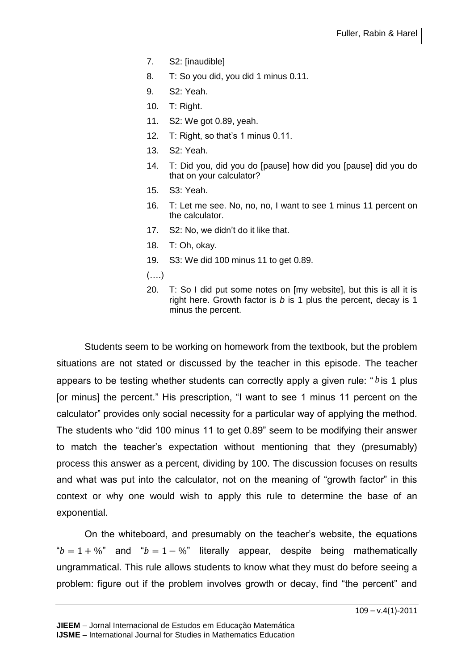- 7. S2: [inaudible]
- 8. T: So you did, you did 1 minus 0.11.
- 9. S2: Yeah.
- 10. T: Right.
- 11. S2: We got 0.89, yeah.
- 12. T: Right, so that's 1 minus 0.11.
- 13. S2: Yeah.
- 14. T: Did you, did you do [pause] how did you [pause] did you do that on your calculator?
- 15. S3: Yeah.
- 16. T: Let me see. No, no, no, I want to see 1 minus 11 percent on the calculator.
- 17. S2: No, we didn't do it like that.
- 18. T: Oh, okay.
- 19. S3: We did 100 minus 11 to get 0.89.
- $(\ldots)$
- 20. T: So I did put some notes on [my website], but this is all it is right here. Growth factor is *b* is 1 plus the percent, decay is 1 minus the percent.

Students seem to be working on homework from the textbook, but the problem situations are not stated or discussed by the teacher in this episode. The teacher appears to be testing whether students can correctly apply a given rule: "bis 1 plus [or minus] the percent." His prescription, "I want to see 1 minus 11 percent on the calculator" provides only social necessity for a particular way of applying the method. The students who "did 100 minus 11 to get 0.89" seem to be modifying their answer to match the teacher's expectation without mentioning that they (presumably) process this answer as a percent, dividing by 100. The discussion focuses on results and what was put into the calculator, not on the meaning of "growth factor" in this context or why one would wish to apply this rule to determine the base of an exponential.

On the whiteboard, and presumably on the teacher's website, the equations " $b = 1 + \%$ " and " $b = 1 - \%$ " literally appear, despite being mathematically ungrammatical. This rule allows students to know what they must do before seeing a problem: figure out if the problem involves growth or decay, find "the percent" and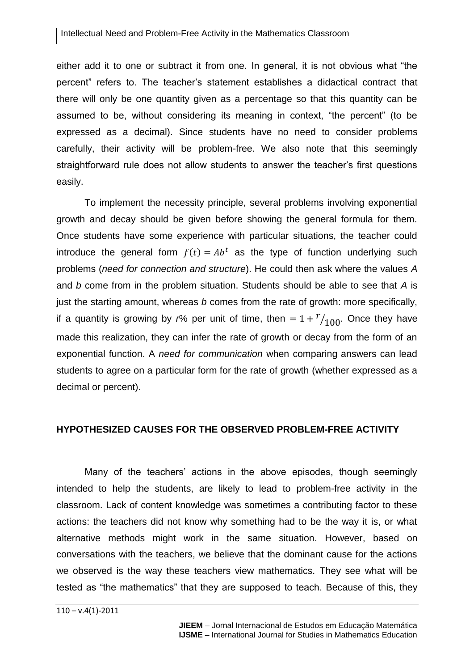either add it to one or subtract it from one. In general, it is not obvious what "the percent" refers to. The teacher's statement establishes a didactical contract that there will only be one quantity given as a percentage so that this quantity can be assumed to be, without considering its meaning in context, "the percent" (to be expressed as a decimal). Since students have no need to consider problems carefully, their activity will be problem-free. We also note that this seemingly straightforward rule does not allow students to answer the teacher's first questions easily.

To implement the necessity principle, several problems involving exponential growth and decay should be given before showing the general formula for them. Once students have some experience with particular situations, the teacher could introduce the general form  $f(t) = Ab^t$  as the type of function underlying such problems (*need for connection and structure*). He could then ask where the values *A* and *b* come from in the problem situation. Students should be able to see that *A* is just the starting amount, whereas *b* comes from the rate of growth: more specifically, if a quantity is growing by *r*% per unit of time, then  $=1+{r \choose 100}$ . Once they have made this realization, they can infer the rate of growth or decay from the form of an exponential function. A *need for communication* when comparing answers can lead students to agree on a particular form for the rate of growth (whether expressed as a decimal or percent).

#### **HYPOTHESIZED CAUSES FOR THE OBSERVED PROBLEM-FREE ACTIVITY**

Many of the teachers' actions in the above episodes, though seemingly intended to help the students, are likely to lead to problem-free activity in the classroom. Lack of content knowledge was sometimes a contributing factor to these actions: the teachers did not know why something had to be the way it is, or what alternative methods might work in the same situation. However, based on conversations with the teachers, we believe that the dominant cause for the actions we observed is the way these teachers view mathematics. They see what will be tested as "the mathematics" that they are supposed to teach. Because of this, they

 $110 - v.4(1) - 2011$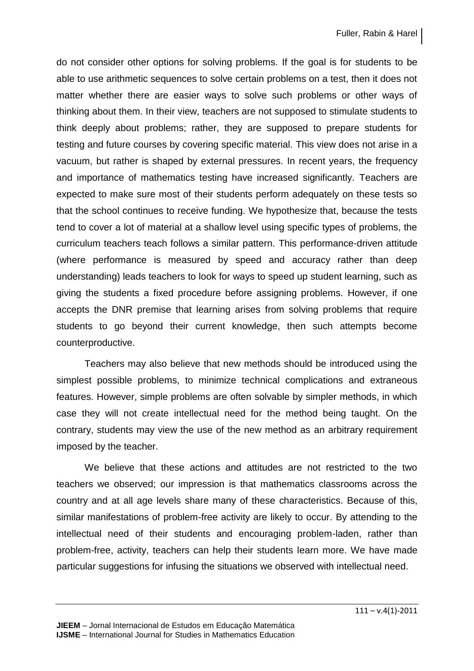do not consider other options for solving problems. If the goal is for students to be able to use arithmetic sequences to solve certain problems on a test, then it does not matter whether there are easier ways to solve such problems or other ways of thinking about them. In their view, teachers are not supposed to stimulate students to think deeply about problems; rather, they are supposed to prepare students for testing and future courses by covering specific material. This view does not arise in a vacuum, but rather is shaped by external pressures. In recent years, the frequency and importance of mathematics testing have increased significantly. Teachers are expected to make sure most of their students perform adequately on these tests so that the school continues to receive funding. We hypothesize that, because the tests tend to cover a lot of material at a shallow level using specific types of problems, the curriculum teachers teach follows a similar pattern. This performance-driven attitude (where performance is measured by speed and accuracy rather than deep understanding) leads teachers to look for ways to speed up student learning, such as giving the students a fixed procedure before assigning problems. However, if one accepts the DNR premise that learning arises from solving problems that require students to go beyond their current knowledge, then such attempts become counterproductive.

Teachers may also believe that new methods should be introduced using the simplest possible problems, to minimize technical complications and extraneous features. However, simple problems are often solvable by simpler methods, in which case they will not create intellectual need for the method being taught. On the contrary, students may view the use of the new method as an arbitrary requirement imposed by the teacher.

We believe that these actions and attitudes are not restricted to the two teachers we observed; our impression is that mathematics classrooms across the country and at all age levels share many of these characteristics. Because of this, similar manifestations of problem-free activity are likely to occur. By attending to the intellectual need of their students and encouraging problem-laden, rather than problem-free, activity, teachers can help their students learn more. We have made particular suggestions for infusing the situations we observed with intellectual need.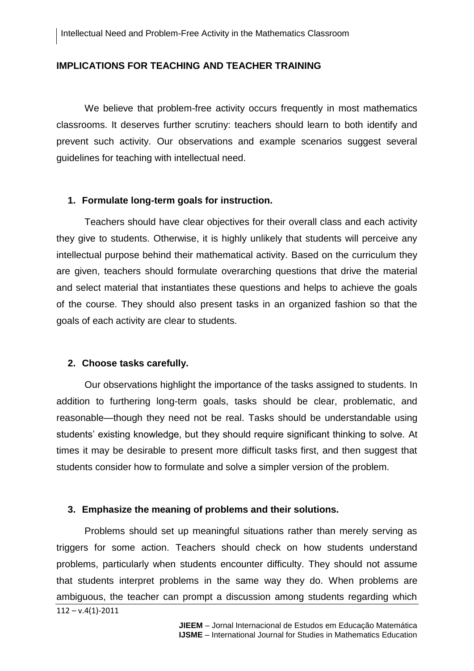#### **IMPLICATIONS FOR TEACHING AND TEACHER TRAINING**

We believe that problem-free activity occurs frequently in most mathematics classrooms. It deserves further scrutiny: teachers should learn to both identify and prevent such activity. Our observations and example scenarios suggest several guidelines for teaching with intellectual need.

#### **1. Formulate long-term goals for instruction.**

Teachers should have clear objectives for their overall class and each activity they give to students. Otherwise, it is highly unlikely that students will perceive any intellectual purpose behind their mathematical activity. Based on the curriculum they are given, teachers should formulate overarching questions that drive the material and select material that instantiates these questions and helps to achieve the goals of the course. They should also present tasks in an organized fashion so that the goals of each activity are clear to students.

#### **2. Choose tasks carefully.**

Our observations highlight the importance of the tasks assigned to students. In addition to furthering long-term goals, tasks should be clear, problematic, and reasonable—though they need not be real. Tasks should be understandable using students' existing knowledge, but they should require significant thinking to solve. At times it may be desirable to present more difficult tasks first, and then suggest that students consider how to formulate and solve a simpler version of the problem.

#### **3. Emphasize the meaning of problems and their solutions.**

 $112 - v.4(1) - 2011$ Problems should set up meaningful situations rather than merely serving as triggers for some action. Teachers should check on how students understand problems, particularly when students encounter difficulty. They should not assume that students interpret problems in the same way they do. When problems are ambiguous, the teacher can prompt a discussion among students regarding which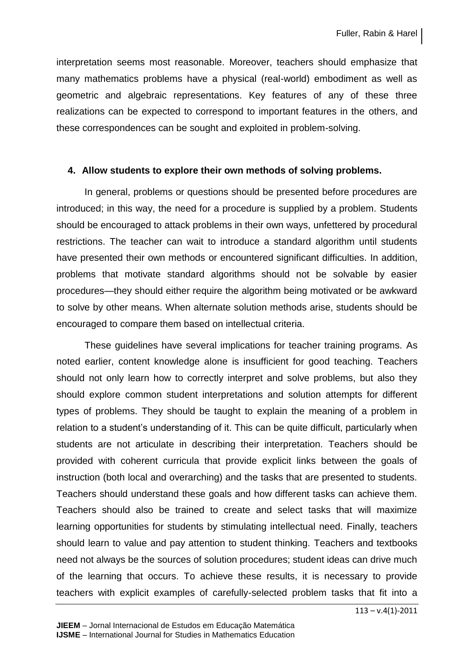interpretation seems most reasonable. Moreover, teachers should emphasize that many mathematics problems have a physical (real-world) embodiment as well as geometric and algebraic representations. Key features of any of these three realizations can be expected to correspond to important features in the others, and these correspondences can be sought and exploited in problem-solving.

# **4. Allow students to explore their own methods of solving problems.**

In general, problems or questions should be presented before procedures are introduced; in this way, the need for a procedure is supplied by a problem. Students should be encouraged to attack problems in their own ways, unfettered by procedural restrictions. The teacher can wait to introduce a standard algorithm until students have presented their own methods or encountered significant difficulties. In addition, problems that motivate standard algorithms should not be solvable by easier procedures—they should either require the algorithm being motivated or be awkward to solve by other means. When alternate solution methods arise, students should be encouraged to compare them based on intellectual criteria.

These guidelines have several implications for teacher training programs. As noted earlier, content knowledge alone is insufficient for good teaching. Teachers should not only learn how to correctly interpret and solve problems, but also they should explore common student interpretations and solution attempts for different types of problems. They should be taught to explain the meaning of a problem in relation to a student's understanding of it. This can be quite difficult, particularly when students are not articulate in describing their interpretation. Teachers should be provided with coherent curricula that provide explicit links between the goals of instruction (both local and overarching) and the tasks that are presented to students. Teachers should understand these goals and how different tasks can achieve them. Teachers should also be trained to create and select tasks that will maximize learning opportunities for students by stimulating intellectual need. Finally, teachers should learn to value and pay attention to student thinking. Teachers and textbooks need not always be the sources of solution procedures; student ideas can drive much of the learning that occurs. To achieve these results, it is necessary to provide teachers with explicit examples of carefully-selected problem tasks that fit into a